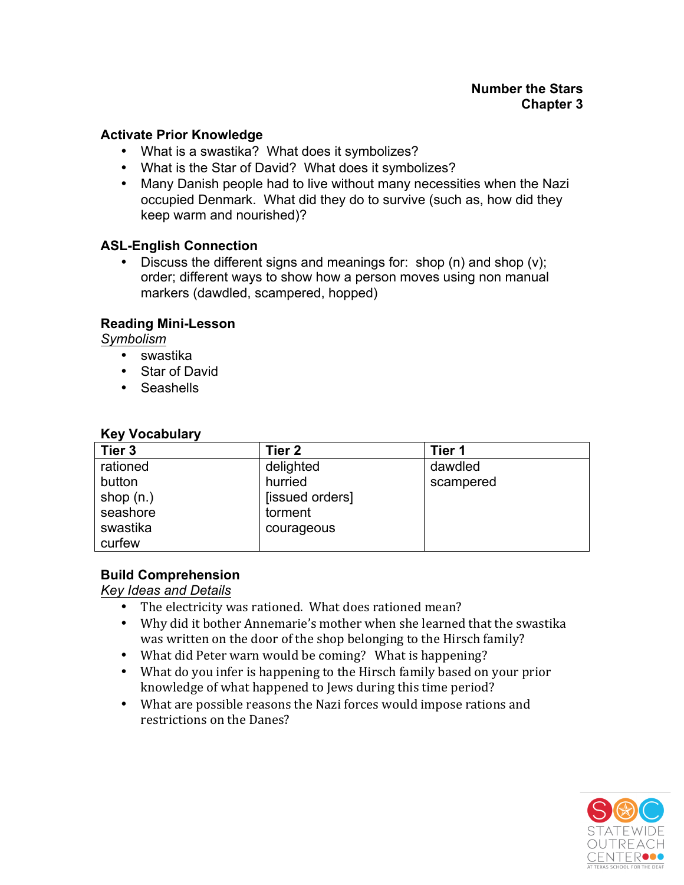#### **Activate Prior Knowledge**

- What is a swastika? What does it symbolizes?
- What is the Star of David? What does it symbolizes?
- Many Danish people had to live without many necessities when the Nazi occupied Denmark. What did they do to survive (such as, how did they keep warm and nourished)?

### **ASL-English Connection**

• Discuss the different signs and meanings for: shop  $(n)$  and shop  $(v)$ ; order; different ways to show how a person moves using non manual markers (dawdled, scampered, hopped)

### **Reading Mini-Lesson**

*Symbolism* 

- swastika
- Star of David
- Seashells

#### **Key Vocabulary**

| Tier 3      | Tier 2          | Tier 1    |
|-------------|-----------------|-----------|
| rationed    | delighted       | dawdled   |
| button      | hurried         | scampered |
| shop $(n.)$ | [issued orders] |           |
| seashore    | torment         |           |
| swastika    | courageous      |           |
| curfew      |                 |           |

#### **Build Comprehension**

*Key Ideas and Details* 

- The electricity was rationed. What does rationed mean?
- Why did it bother Annemarie's mother when she learned that the swastika was written on the door of the shop belonging to the Hirsch family?
- What did Peter warn would be coming? What is happening?
- What do you infer is happening to the Hirsch family based on your prior knowledge of what happened to Jews during this time period?
- What are possible reasons the Nazi forces would impose rations and restrictions on the Danes?